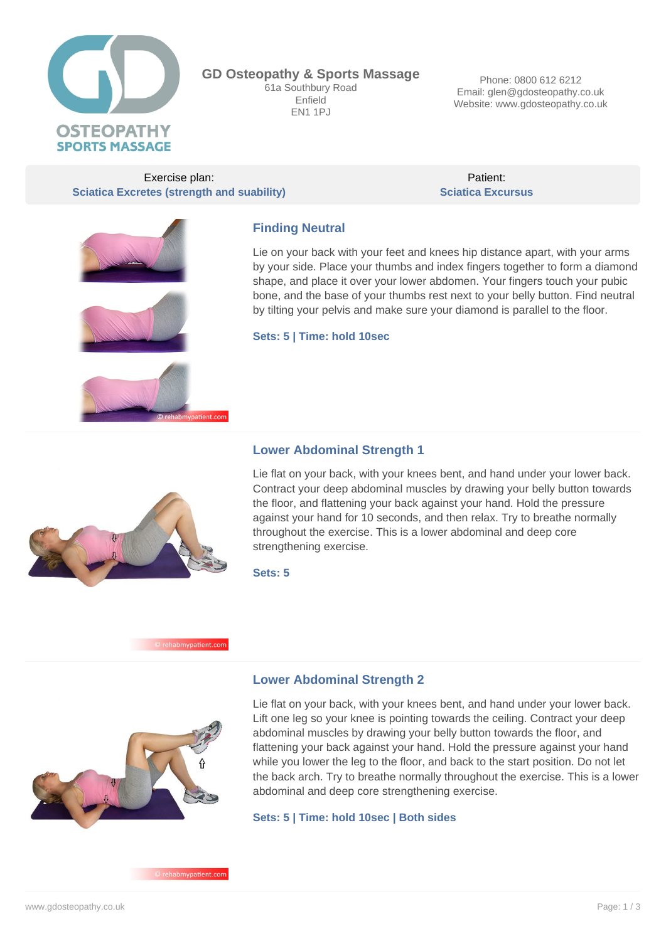

**GD Osteopathy & Sports Massage** 61a Southbury Road Enfield **EN1 1PJ** 

Phone: 0800 612 6212 Email: glen@gdosteopathy.co.uk Website: www.gdosteopathy.co.uk

Exercise plan: **Sciatica Excretes (strength and suability)**

Patient: **Sciatica Excursus**







## **Finding Neutral**

Lie on your back with your feet and knees hip distance apart, with your arms by your side. Place your thumbs and index fingers together to form a diamond shape, and place it over your lower abdomen. Your fingers touch your pubic bone, and the base of your thumbs rest next to your belly button. Find neutral by tilting your pelvis and make sure your diamond is parallel to the floor.

**Sets: 5 | Time: hold 10sec**

### **Lower Abdominal Strength 1**

Lie flat on your back, with your knees bent, and hand under your lower back. Contract your deep abdominal muscles by drawing your belly button towards the floor, and flattening your back against your hand. Hold the pressure against your hand for 10 seconds, and then relax. Try to breathe normally throughout the exercise. This is a lower abdominal and deep core strengthening exercise.

**Sets: 5**

#### nypatient.com



### **Lower Abdominal Strength 2**

Lie flat on your back, with your knees bent, and hand under your lower back. Lift one leg so your knee is pointing towards the ceiling. Contract your deep abdominal muscles by drawing your belly button towards the floor, and flattening your back against your hand. Hold the pressure against your hand while you lower the leg to the floor, and back to the start position. Do not let the back arch. Try to breathe normally throughout the exercise. This is a lower abdominal and deep core strengthening exercise.

#### **Sets: 5 | Time: hold 10sec | Both sides**

rehabmypatient.com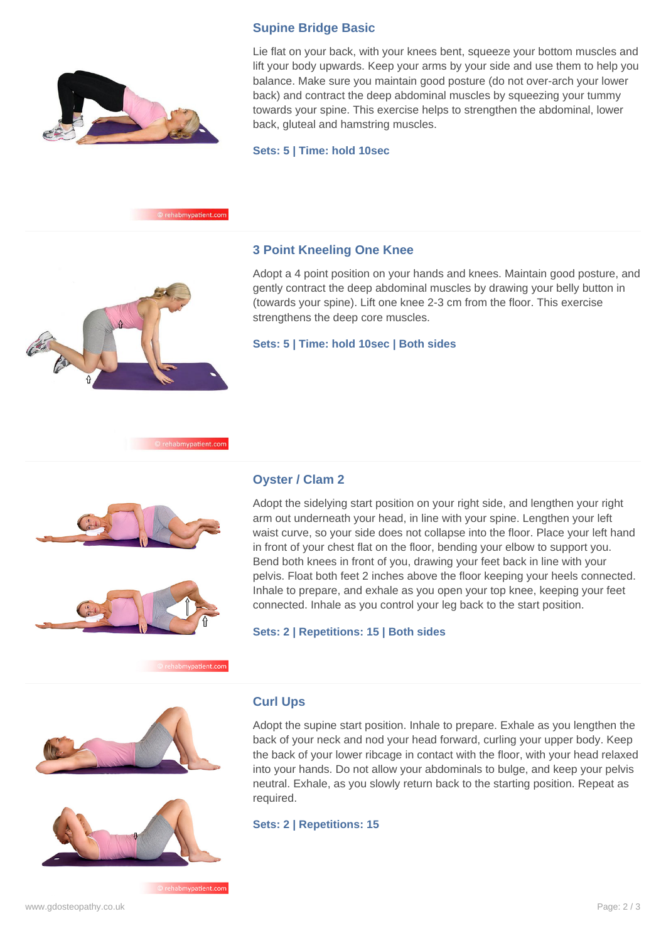

Lie flat on your back, with your knees bent, squeeze your bottom muscles and lift your body upwards. Keep your arms by your side and use them to help you balance. Make sure you maintain good posture (do not over-arch your lower back) and contract the deep abdominal muscles by squeezing your tummy towards your spine. This exercise helps to strengthen the abdominal, lower back, gluteal and hamstring muscles.

**Sets: 5 | Time: hold 10sec**

**Supine Bridge Basic**



### **3 Point Kneeling One Knee**

Adopt a 4 point position on your hands and knees. Maintain good posture, and gently contract the deep abdominal muscles by drawing your belly button in (towards your spine). Lift one knee 2-3 cm from the floor. This exercise strengthens the deep core muscles.

**Sets: 5 | Time: hold 10sec | Both sides**





### **Oyster / Clam 2**

Adopt the sidelying start position on your right side, and lengthen your right arm out underneath your head, in line with your spine. Lengthen your left waist curve, so your side does not collapse into the floor. Place your left hand in front of your chest flat on the floor, bending your elbow to support you. Bend both knees in front of you, drawing your feet back in line with your pelvis. Float both feet 2 inches above the floor keeping your heels connected. Inhale to prepare, and exhale as you open your top knee, keeping your feet connected. Inhale as you control your leg back to the start position.

**Sets: 2 | Repetitions: 15 | Both sides**





© rehabmypatient.com

**Curl Ups**

Adopt the supine start position. Inhale to prepare. Exhale as you lengthen the back of your neck and nod your head forward, curling your upper body. Keep the back of your lower ribcage in contact with the floor, with your head relaxed into your hands. Do not allow your abdominals to bulge, and keep your pelvis neutral. Exhale, as you slowly return back to the starting position. Repeat as required.

**Sets: 2 | Repetitions: 15**